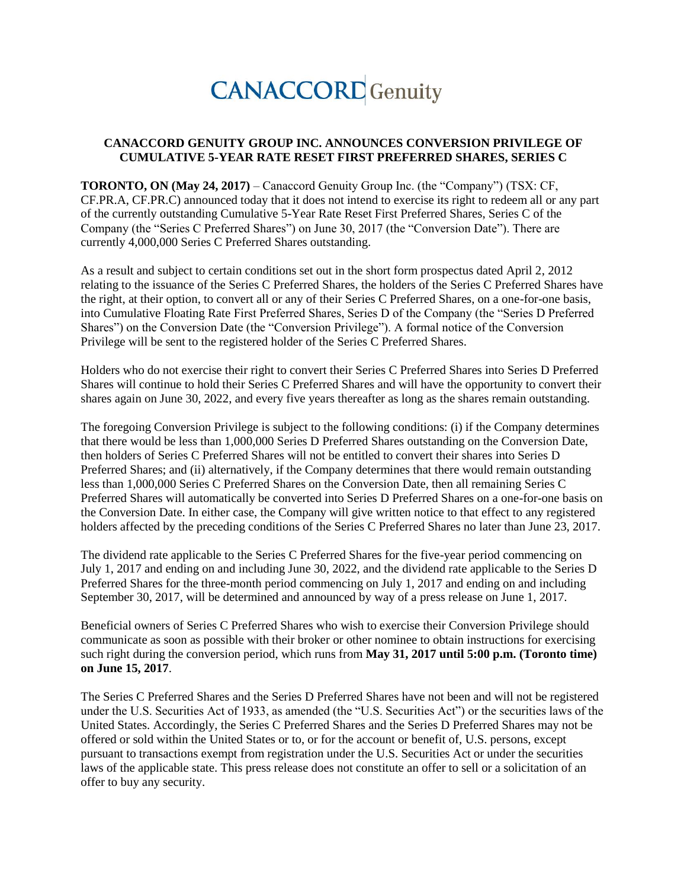# **CANACCORD** Genuity

#### **CANACCORD GENUITY GROUP INC. ANNOUNCES CONVERSION PRIVILEGE OF CUMULATIVE 5-YEAR RATE RESET FIRST PREFERRED SHARES, SERIES C**

**TORONTO, ON (May 24, 2017)** – Canaccord Genuity Group Inc. (the "Company") (TSX: CF, CF.PR.A, CF.PR.C) announced today that it does not intend to exercise its right to redeem all or any part of the currently outstanding Cumulative 5-Year Rate Reset First Preferred Shares, Series C of the Company (the "Series C Preferred Shares") on June 30, 2017 (the "Conversion Date"). There are currently 4,000,000 Series C Preferred Shares outstanding.

As a result and subject to certain conditions set out in the short form prospectus dated April 2, 2012 relating to the issuance of the Series C Preferred Shares, the holders of the Series C Preferred Shares have the right, at their option, to convert all or any of their Series C Preferred Shares, on a one-for-one basis, into Cumulative Floating Rate First Preferred Shares, Series D of the Company (the "Series D Preferred Shares") on the Conversion Date (the "Conversion Privilege"). A formal notice of the Conversion Privilege will be sent to the registered holder of the Series C Preferred Shares.

Holders who do not exercise their right to convert their Series C Preferred Shares into Series D Preferred Shares will continue to hold their Series C Preferred Shares and will have the opportunity to convert their shares again on June 30, 2022, and every five years thereafter as long as the shares remain outstanding.

The foregoing Conversion Privilege is subject to the following conditions: (i) if the Company determines that there would be less than 1,000,000 Series D Preferred Shares outstanding on the Conversion Date, then holders of Series C Preferred Shares will not be entitled to convert their shares into Series D Preferred Shares; and (ii) alternatively, if the Company determines that there would remain outstanding less than 1,000,000 Series C Preferred Shares on the Conversion Date, then all remaining Series C Preferred Shares will automatically be converted into Series D Preferred Shares on a one-for-one basis on the Conversion Date. In either case, the Company will give written notice to that effect to any registered holders affected by the preceding conditions of the Series C Preferred Shares no later than June 23, 2017.

The dividend rate applicable to the Series C Preferred Shares for the five-year period commencing on July 1, 2017 and ending on and including June 30, 2022, and the dividend rate applicable to the Series D Preferred Shares for the three-month period commencing on July 1, 2017 and ending on and including September 30, 2017, will be determined and announced by way of a press release on June 1, 2017.

Beneficial owners of Series C Preferred Shares who wish to exercise their Conversion Privilege should communicate as soon as possible with their broker or other nominee to obtain instructions for exercising such right during the conversion period, which runs from **May 31, 2017 until 5:00 p.m. (Toronto time) on June 15, 2017**.

The Series C Preferred Shares and the Series D Preferred Shares have not been and will not be registered under the U.S. Securities Act of 1933, as amended (the "U.S. Securities Act") or the securities laws of the United States. Accordingly, the Series C Preferred Shares and the Series D Preferred Shares may not be offered or sold within the United States or to, or for the account or benefit of, U.S. persons, except pursuant to transactions exempt from registration under the U.S. Securities Act or under the securities laws of the applicable state. This press release does not constitute an offer to sell or a solicitation of an offer to buy any security.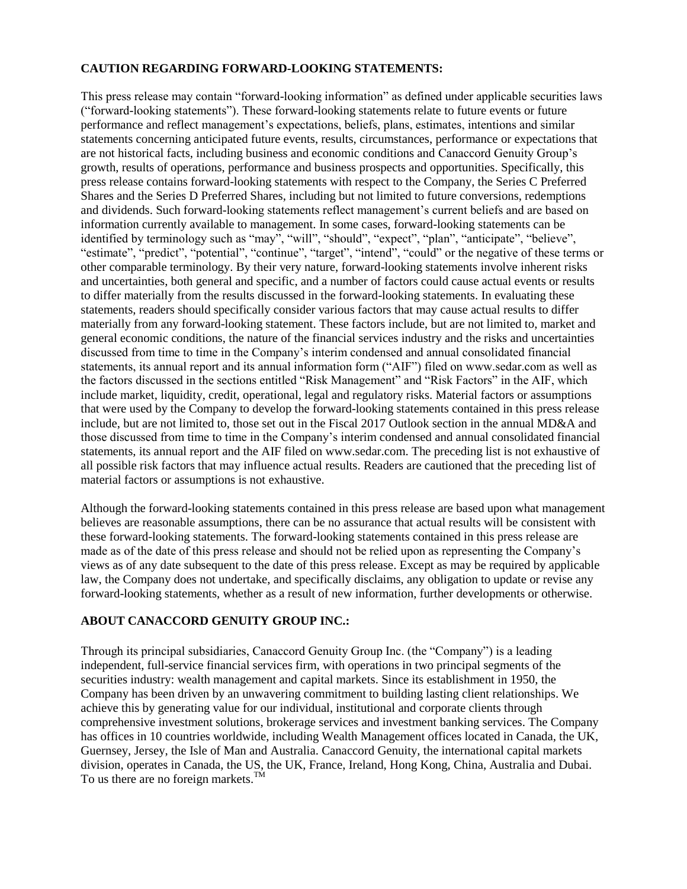### **CAUTION REGARDING FORWARD-LOOKING STATEMENTS:**

This press release may contain "forward-looking information" as defined under applicable securities laws ("forward-looking statements"). These forward-looking statements relate to future events or future performance and reflect management's expectations, beliefs, plans, estimates, intentions and similar statements concerning anticipated future events, results, circumstances, performance or expectations that are not historical facts, including business and economic conditions and Canaccord Genuity Group's growth, results of operations, performance and business prospects and opportunities. Specifically, this press release contains forward-looking statements with respect to the Company, the Series C Preferred Shares and the Series D Preferred Shares, including but not limited to future conversions, redemptions and dividends. Such forward-looking statements reflect management's current beliefs and are based on information currently available to management. In some cases, forward-looking statements can be identified by terminology such as "may", "will", "should", "expect", "plan", "anticipate", "believe", "estimate", "predict", "potential", "continue", "target", "intend", "could" or the negative of these terms or other comparable terminology. By their very nature, forward-looking statements involve inherent risks and uncertainties, both general and specific, and a number of factors could cause actual events or results to differ materially from the results discussed in the forward-looking statements. In evaluating these statements, readers should specifically consider various factors that may cause actual results to differ materially from any forward-looking statement. These factors include, but are not limited to, market and general economic conditions, the nature of the financial services industry and the risks and uncertainties discussed from time to time in the Company's interim condensed and annual consolidated financial statements, its annual report and its annual information form ("AIF") filed on www.sedar.com as well as the factors discussed in the sections entitled "Risk Management" and "Risk Factors" in the AIF, which include market, liquidity, credit, operational, legal and regulatory risks. Material factors or assumptions that were used by the Company to develop the forward-looking statements contained in this press release include, but are not limited to, those set out in the Fiscal 2017 Outlook section in the annual MD&A and those discussed from time to time in the Company's interim condensed and annual consolidated financial statements, its annual report and the AIF filed on www.sedar.com. The preceding list is not exhaustive of all possible risk factors that may influence actual results. Readers are cautioned that the preceding list of material factors or assumptions is not exhaustive.

Although the forward-looking statements contained in this press release are based upon what management believes are reasonable assumptions, there can be no assurance that actual results will be consistent with these forward-looking statements. The forward-looking statements contained in this press release are made as of the date of this press release and should not be relied upon as representing the Company's views as of any date subsequent to the date of this press release. Except as may be required by applicable law, the Company does not undertake, and specifically disclaims, any obligation to update or revise any forward-looking statements, whether as a result of new information, further developments or otherwise.

## **ABOUT CANACCORD GENUITY GROUP INC.:**

Through its principal subsidiaries, Canaccord Genuity Group Inc. (the "Company") is a leading independent, full-service financial services firm, with operations in two principal segments of the securities industry: wealth management and capital markets. Since its establishment in 1950, the Company has been driven by an unwavering commitment to building lasting client relationships. We achieve this by generating value for our individual, institutional and corporate clients through comprehensive investment solutions, brokerage services and investment banking services. The Company has offices in 10 countries worldwide, including Wealth Management offices located in Canada, the UK, Guernsey, Jersey, the Isle of Man and Australia. Canaccord Genuity, the international capital markets division, operates in Canada, the US, the UK, France, Ireland, Hong Kong, China, Australia and Dubai. To us there are no foreign markets. $^{TM}$